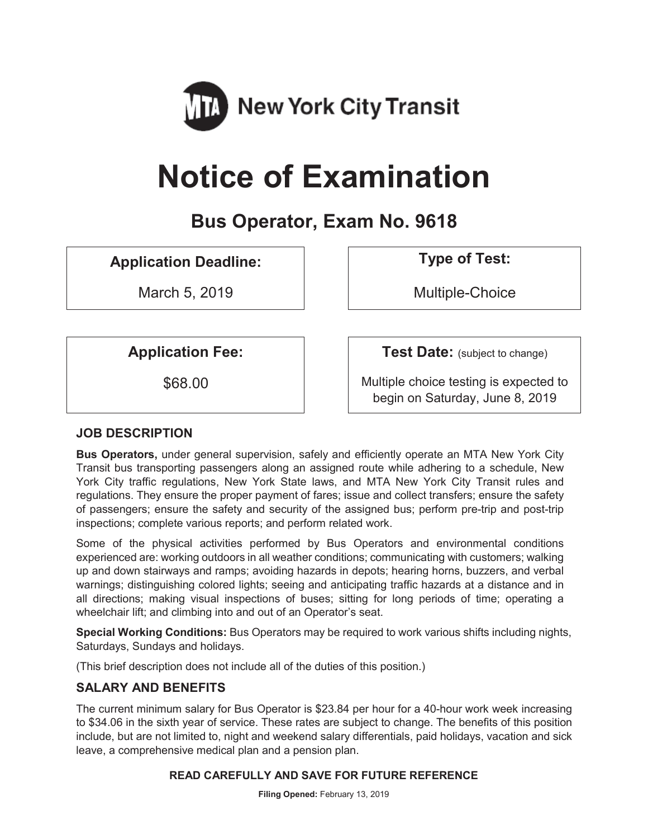

# **Notice of Examination**

# **Bus Operator, Exam No. 9618**

# **Application Deadline: Type of Test:**

March 5, 2019 and 1 and 1 and 1 and 1 and 1 and 1 and 1 and 1 and 1 and 1 and 1 and 1 and 1 and 1 and 1 and 1 a

**Application Fee:**  $\vert$  **Test Date:** (subject to change)

\$68.00 Multiple choice testing is expected to begin on Saturday, June 8, 2019

# **JOB DESCRIPTION**

**Bus Operators,** under general supervision, safely and efficiently operate an MTA New York City Transit bus transporting passengers along an assigned route while adhering to a schedule, New York City traffic regulations, New York State laws, and MTA New York City Transit rules and regulations. They ensure the proper payment of fares; issue and collect transfers; ensure the safety of passengers; ensure the safety and security of the assigned bus; perform pre-trip and post-trip inspections; complete various reports; and perform related work.

Some of the physical activities performed by Bus Operators and environmental conditions experienced are: working outdoors in all weather conditions; communicating with customers; walking up and down stairways and ramps; avoiding hazards in depots; hearing horns, buzzers, and verbal warnings; distinguishing colored lights; seeing and anticipating traffic hazards at a distance and in all directions; making visual inspections of buses; sitting for long periods of time; operating a wheelchair lift; and climbing into and out of an Operator's seat.

**Special Working Conditions:** Bus Operators may be required to work various shifts including nights, Saturdays, Sundays and holidays.

(This brief description does not include all of the duties of this position.)

# **SALARY AND BENEFITS**

The current minimum salary for Bus Operator is \$23.84 per hour for a 40-hour work week increasing to \$34.06 in the sixth year of service. These rates are subject to change. The benefits of this position include, but are not limited to, night and weekend salary differentials, paid holidays, vacation and sick leave, a comprehensive medical plan and a pension plan.

#### **READ CAREFULLY AND SAVE FOR FUTURE REFERENCE**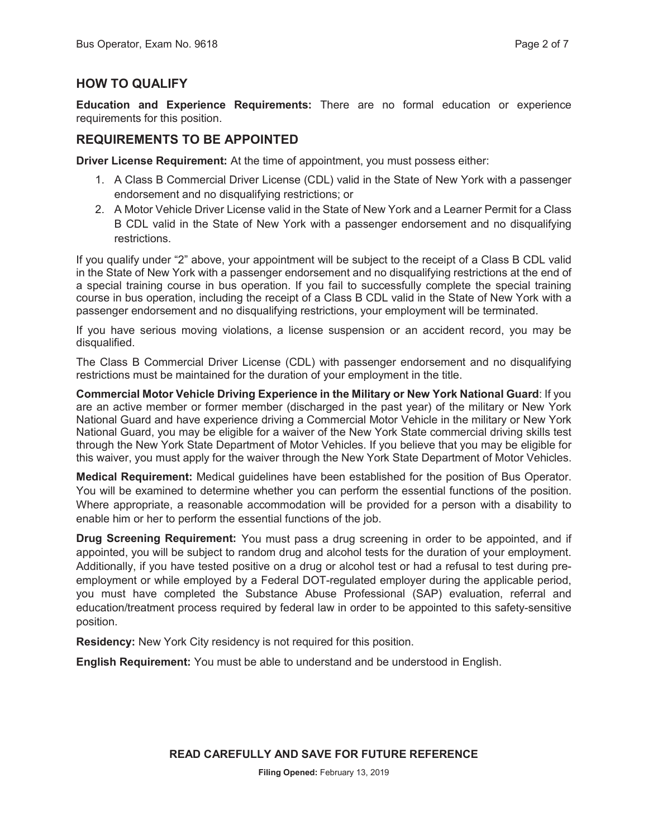# **HOW TO QUALIFY**

**Education and Experience Requirements:** There are no formal education or experience requirements for this position.

# **REQUIREMENTS TO BE APPOINTED**

**Driver License Requirement:** At the time of appointment, you must possess either:

- 1. A Class B Commercial Driver License (CDL) valid in the State of New York with a passenger endorsement and no disqualifying restrictions; or
- 2. A Motor Vehicle Driver License valid in the State of New York and a Learner Permit for a Class B CDL valid in the State of New York with a passenger endorsement and no disqualifying restrictions.

If you qualify under "2" above, your appointment will be subject to the receipt of a Class B CDL valid in the State of New York with a passenger endorsement and no disqualifying restrictions at the end of a special training course in bus operation. If you fail to successfully complete the special training course in bus operation, including the receipt of a Class B CDL valid in the State of New York with a passenger endorsement and no disqualifying restrictions, your employment will be terminated.

If you have serious moving violations, a license suspension or an accident record, you may be disqualified.

The Class B Commercial Driver License (CDL) with passenger endorsement and no disqualifying restrictions must be maintained for the duration of your employment in the title.

**Commercial Motor Vehicle Driving Experience in the Military or New York National Guard**: If you are an active member or former member (discharged in the past year) of the military or New York National Guard and have experience driving a Commercial Motor Vehicle in the military or New York National Guard, you may be eligible for a waiver of the New York State commercial driving skills test through the New York State Department of Motor Vehicles. If you believe that you may be eligible for this waiver, you must apply for the waiver through the New York State Department of Motor Vehicles.

**Medical Requirement:** Medical guidelines have been established for the position of Bus Operator. You will be examined to determine whether you can perform the essential functions of the position. Where appropriate, a reasonable accommodation will be provided for a person with a disability to enable him or her to perform the essential functions of the job.

**Drug Screening Requirement:** You must pass a drug screening in order to be appointed, and if appointed, you will be subject to random drug and alcohol tests for the duration of your employment. Additionally, if you have tested positive on a drug or alcohol test or had a refusal to test during preemployment or while employed by a Federal DOT-regulated employer during the applicable period, you must have completed the Substance Abuse Professional (SAP) evaluation, referral and education/treatment process required by federal law in order to be appointed to this safety-sensitive position.

**Residency:** New York City residency is not required for this position.

**English Requirement:** You must be able to understand and be understood in English.

#### **READ CAREFULLY AND SAVE FOR FUTURE REFERENCE**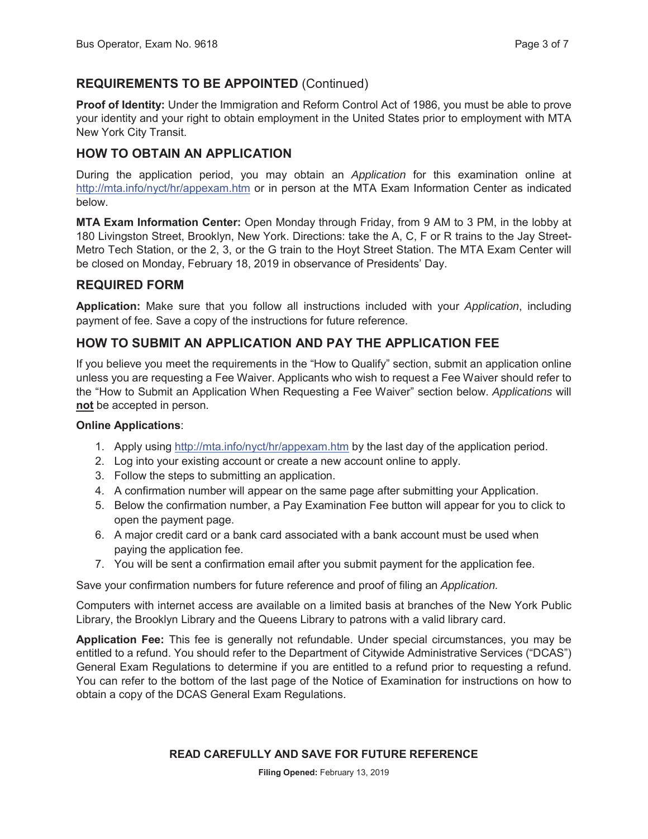# **REQUIREMENTS TO BE APPOINTED** (Continued)

**Proof of Identity:** Under the Immigration and Reform Control Act of 1986, you must be able to prove your identity and your right to obtain employment in the United States prior to employment with MTA New York City Transit.

# **HOW TO OBTAIN AN APPLICATION**

During the application period, you may obtain an *Application* for this examination online at http://mta.info/nyct/hr/appexam.htm or in person at the MTA Exam Information Center as indicated below.

**MTA Exam Information Center:** Open Monday through Friday, from 9 AM to 3 PM, in the lobby at 180 Livingston Street, Brooklyn, New York. Directions: take the A, C, F or R trains to the Jay Street-Metro Tech Station, or the 2, 3, or the G train to the Hoyt Street Station. The MTA Exam Center will be closed on Monday, February 18, 2019 in observance of Presidents' Day.

#### **REQUIRED FORM**

**Application:** Make sure that you follow all instructions included with your *Application*, including payment of fee. Save a copy of the instructions for future reference.

# **HOW TO SUBMIT AN APPLICATION AND PAY THE APPLICATION FEE**

If you believe you meet the requirements in the "How to Qualify" section, submit an application online unless you are requesting a Fee Waiver. Applicants who wish to request a Fee Waiver should refer to the "How to Submit an Application When Requesting a Fee Waiver" section below. *Applications* will **not** be accepted in person.

#### **Online Applications**:

- 1. Apply using http://mta.info/nyct/hr/appexam.htm by the last day of the application period.
- 2. Log into your existing account or create a new account online to apply.
- 3. Follow the steps to submitting an application.
- 4. A confirmation number will appear on the same page after submitting your Application.
- 5. Below the confirmation number, a Pay Examination Fee button will appear for you to click to open the payment page.
- 6. A major credit card or a bank card associated with a bank account must be used when paying the application fee.
- 7. You will be sent a confirmation email after you submit payment for the application fee.

Save your confirmation numbers for future reference and proof of filing an *Application.*

Computers with internet access are available on a limited basis at branches of the New York Public Library, the Brooklyn Library and the Queens Library to patrons with a valid library card.

**Application Fee:** This fee is generally not refundable. Under special circumstances, you may be entitled to a refund. You should refer to the Department of Citywide Administrative Services ("DCAS") General Exam Regulations to determine if you are entitled to a refund prior to requesting a refund. You can refer to the bottom of the last page of the Notice of Examination for instructions on how to obtain a copy of the DCAS General Exam Regulations.

#### **READ CAREFULLY AND SAVE FOR FUTURE REFERENCE**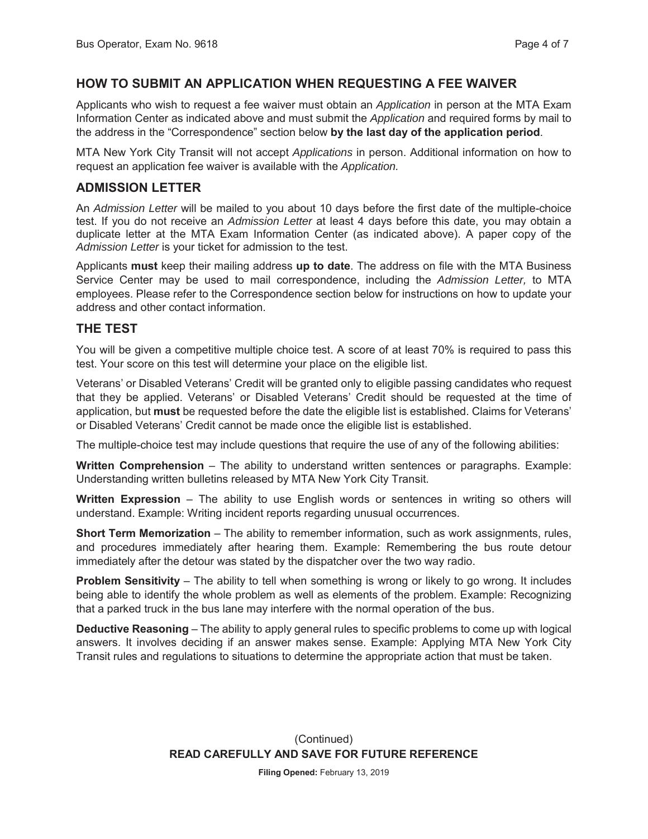#### **HOW TO SUBMIT AN APPLICATION WHEN REQUESTING A FEE WAIVER**

Applicants who wish to request a fee waiver must obtain an *Application* in person at the MTA Exam Information Center as indicated above and must submit the *Application* and required forms by mail to the address in the "Correspondence" section below **by the last day of the application period**.

MTA New York City Transit will not accept *Applications* in person. Additional information on how to request an application fee waiver is available with the *Application.*

#### **ADMISSION LETTER**

An *Admission Letter* will be mailed to you about 10 days before the first date of the multiple-choice test. If you do not receive an *Admission Letter* at least 4 days before this date, you may obtain a duplicate letter at the MTA Exam Information Center (as indicated above). A paper copy of the *Admission Letter* is your ticket for admission to the test.

Applicants **must** keep their mailing address **up to date**. The address on file with the MTA Business Service Center may be used to mail correspondence, including the *Admission Letter,* to MTA employees. Please refer to the Correspondence section below for instructions on how to update your address and other contact information.

#### **THE TEST**

You will be given a competitive multiple choice test. A score of at least 70% is required to pass this test. Your score on this test will determine your place on the eligible list.

Veterans' or Disabled Veterans' Credit will be granted only to eligible passing candidates who request that they be applied. Veterans' or Disabled Veterans' Credit should be requested at the time of application, but **must** be requested before the date the eligible list is established. Claims for Veterans' or Disabled Veterans' Credit cannot be made once the eligible list is established.

The multiple-choice test may include questions that require the use of any of the following abilities:

**Written Comprehension** – The ability to understand written sentences or paragraphs. Example: Understanding written bulletins released by MTA New York City Transit.

**Written Expression** – The ability to use English words or sentences in writing so others will understand. Example: Writing incident reports regarding unusual occurrences.

**Short Term Memorization** – The ability to remember information, such as work assignments, rules, and procedures immediately after hearing them. Example: Remembering the bus route detour immediately after the detour was stated by the dispatcher over the two way radio.

**Problem Sensitivity** – The ability to tell when something is wrong or likely to go wrong. It includes being able to identify the whole problem as well as elements of the problem. Example: Recognizing that a parked truck in the bus lane may interfere with the normal operation of the bus.

**Deductive Reasoning** – The ability to apply general rules to specific problems to come up with logical answers. It involves deciding if an answer makes sense. Example: Applying MTA New York City Transit rules and regulations to situations to determine the appropriate action that must be taken.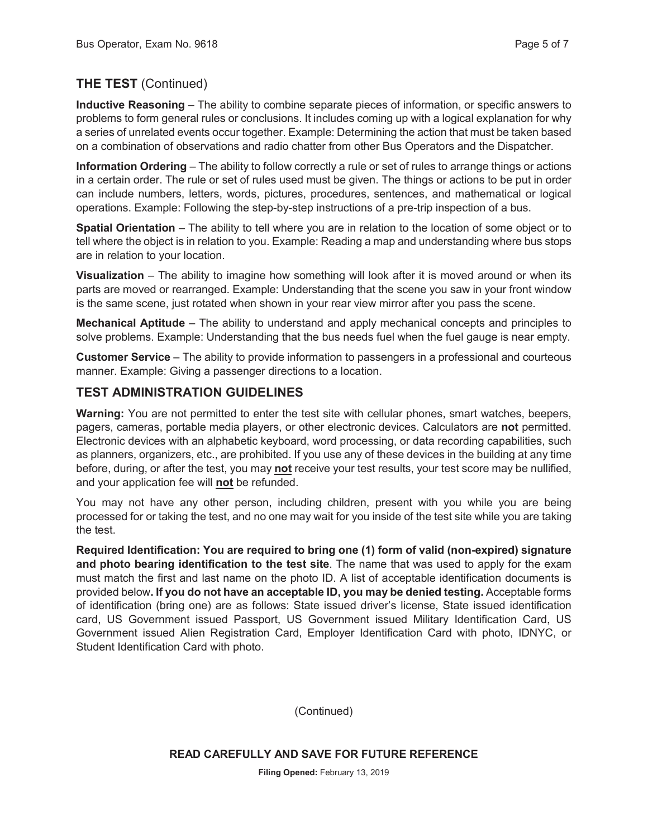# **THE TEST** (Continued)

**Inductive Reasoning** – The ability to combine separate pieces of information, or specific answers to problems to form general rules or conclusions. It includes coming up with a logical explanation for why a series of unrelated events occur together. Example: Determining the action that must be taken based on a combination of observations and radio chatter from other Bus Operators and the Dispatcher.

**Information Ordering** – The ability to follow correctly a rule or set of rules to arrange things or actions in a certain order. The rule or set of rules used must be given. The things or actions to be put in order can include numbers, letters, words, pictures, procedures, sentences, and mathematical or logical operations. Example: Following the step-by-step instructions of a pre-trip inspection of a bus.

**Spatial Orientation** – The ability to tell where you are in relation to the location of some object or to tell where the object is in relation to you. Example: Reading a map and understanding where bus stops are in relation to your location.

**Visualization** – The ability to imagine how something will look after it is moved around or when its parts are moved or rearranged. Example: Understanding that the scene you saw in your front window is the same scene, just rotated when shown in your rear view mirror after you pass the scene.

**Mechanical Aptitude** – The ability to understand and apply mechanical concepts and principles to solve problems. Example: Understanding that the bus needs fuel when the fuel gauge is near empty.

**Customer Service** – The ability to provide information to passengers in a professional and courteous manner. Example: Giving a passenger directions to a location.

# **TEST ADMINISTRATION GUIDELINES**

**Warning:** You are not permitted to enter the test site with cellular phones, smart watches, beepers, pagers, cameras, portable media players, or other electronic devices. Calculators are **not** permitted. Electronic devices with an alphabetic keyboard, word processing, or data recording capabilities, such as planners, organizers, etc., are prohibited. If you use any of these devices in the building at any time before, during, or after the test, you may **not** receive your test results, your test score may be nullified, and your application fee will **not** be refunded.

You may not have any other person, including children, present with you while you are being processed for or taking the test, and no one may wait for you inside of the test site while you are taking the test.

**Required Identification: You are required to bring one (1) form of valid (non-expired) signature and photo bearing identification to the test site**. The name that was used to apply for the exam must match the first and last name on the photo ID. A list of acceptable identification documents is provided below**. If you do not have an acceptable ID, you may be denied testing.** Acceptable forms of identification (bring one) are as follows: State issued driver's license, State issued identification card, US Government issued Passport, US Government issued Military Identification Card, US Government issued Alien Registration Card, Employer Identification Card with photo, IDNYC, or Student Identification Card with photo.

(Continued)

#### **READ CAREFULLY AND SAVE FOR FUTURE REFERENCE**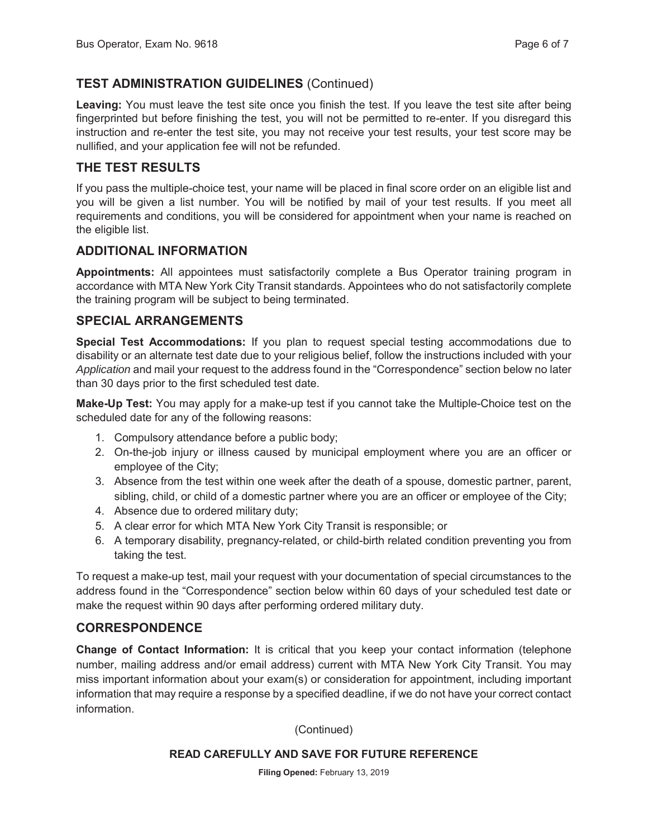# **TEST ADMINISTRATION GUIDELINES** (Continued)

**Leaving:** You must leave the test site once you finish the test. If you leave the test site after being fingerprinted but before finishing the test, you will not be permitted to re-enter. If you disregard this instruction and re-enter the test site, you may not receive your test results, your test score may be nullified, and your application fee will not be refunded.

# **THE TEST RESULTS**

If you pass the multiple-choice test, your name will be placed in final score order on an eligible list and you will be given a list number. You will be notified by mail of your test results. If you meet all requirements and conditions, you will be considered for appointment when your name is reached on the eligible list.

#### **ADDITIONAL INFORMATION**

**Appointments:** All appointees must satisfactorily complete a Bus Operator training program in accordance with MTA New York City Transit standards. Appointees who do not satisfactorily complete the training program will be subject to being terminated.

# **SPECIAL ARRANGEMENTS**

**Special Test Accommodations:** If you plan to request special testing accommodations due to disability or an alternate test date due to your religious belief, follow the instructions included with your *Application* and mail your request to the address found in the "Correspondence" section below no later than 30 days prior to the first scheduled test date.

**Make-Up Test:** You may apply for a make-up test if you cannot take the Multiple-Choice test on the scheduled date for any of the following reasons:

- 1. Compulsory attendance before a public body;
- 2. On-the-job injury or illness caused by municipal employment where you are an officer or employee of the City;
- 3. Absence from the test within one week after the death of a spouse, domestic partner, parent, sibling, child, or child of a domestic partner where you are an officer or employee of the City;
- 4. Absence due to ordered military duty;
- 5. A clear error for which MTA New York City Transit is responsible; or
- 6. A temporary disability, pregnancy-related, or child-birth related condition preventing you from taking the test.

To request a make-up test, mail your request with your documentation of special circumstances to the address found in the "Correspondence" section below within 60 days of your scheduled test date or make the request within 90 days after performing ordered military duty.

# **CORRESPONDENCE**

**Change of Contact Information:** It is critical that you keep your contact information (telephone number, mailing address and/or email address) current with MTA New York City Transit. You may miss important information about your exam(s) or consideration for appointment, including important information that may require a response by a specified deadline, if we do not have your correct contact information.

(Continued)

#### **READ CAREFULLY AND SAVE FOR FUTURE REFERENCE**